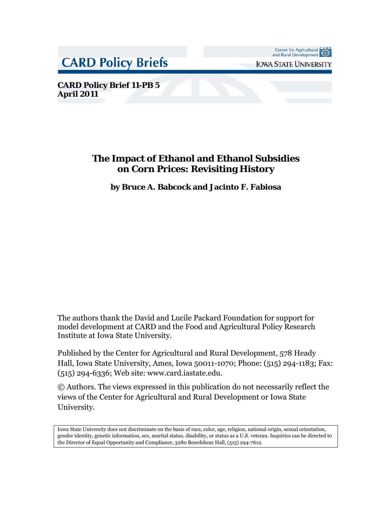**CARD Policy Briefs** 

Center for Agricultural CARD<br>and Rural Development

**IOWA STATE UNIVERSITY** 

**CARD Policy Brief 11-PB 5 April 2011**

# **The Impact of Ethanol and Ethanol Subsidies on Corn Prices: Revisiting History**

**by Bruce A. Babcock and Jacinto F. Fabiosa**

The authors thank the David and Lucile Packard Foundation for support for model development at CARD and the Food and Agricultural Policy Research Institute at Iowa State University.

Published by the Center for Agricultural and Rural Development, 578 Heady Hall, Iowa State University, Ames, Iowa 50011-1070; Phone: (515) 294-1183; Fax: (515) 294-6336; Web site: www.card.iastate.edu.

© Authors. The views expressed in this publication do not necessarily reflect the views of the Center for Agricultural and Rural Development or Iowa State University.

<span id="page-0-0"></span>Iowa State University does not discriminate on the basis of race, color, age, religion, national origin, sexual orientation, gender identity, genetic information, sex, marital status, disability, or status as a U.S. veteran. Inquiries can be directed to the Director of Equal Opportunity and Compliance, 3280 Beardshear Hall, (515) 294-7612.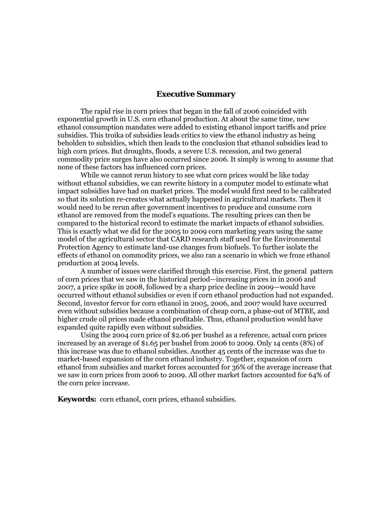#### **Executive Summary**

The rapid rise in corn prices that began in the fall of 2006 coincided with exponential growth in U.S. corn ethanol production. At about the same time, new ethanol consumption mandates were added to existing ethanol import tariffs and price subsidies. This troika of subsidies leads critics to view the ethanol industry as being beholden to subsidies, which then leads to the conclusion that ethanol subsidies lead to high corn prices. But droughts, floods, a severe U.S. recession, and two general commodity price surges have also occurred since 2006. It simply is wrong to assume that none of these factors has influenced corn prices.

While we cannot rerun history to see what corn prices would be like today without ethanol subsidies, we can rewrite history in a computer model to estimate what impact subsidies have had on market prices. The model would first need to be calibrated so that its solution re-creates what actually happened in agricultural markets. Then it would need to be rerun after government incentives to produce and consume corn ethanol are removed from the model's equations. The resulting prices can then be compared to the historical record to estimate the market impacts of ethanol subsidies. This is exactly what we did for the 2005 to 2009 corn marketing years using the same model of the agricultural sector that CARD research staff used for the Environmental Protection Agency to estimate land-use changes from biofuels. To further isolate the effects of ethanol on commodity prices, we also ran a scenario in which we froze ethanol production at 2004 levels.

A number of issues were clarified through this exercise. First, the general pattern of corn prices that we saw in the historical period—increasing prices in in 2006 and 2007, a price spike in 2008, followed by a sharp price decline in 2009—would have occurred without ethanol subsidies or even if corn ethanol production had not expanded. Second, investor fervor for corn ethanol in 2005, 2006, and 2007 would have occurred even without subsidies because a combination of cheap corn, a phase-out of MTBE, and higher crude oil prices made ethanol profitable. Thus, ethanol production would have expanded quite rapidly even without subsidies.

Using the 2004 corn price of \$2.06 per bushel as a reference, actual corn prices increased by an average of \$1.65 per bushel from 2006 to 2009. Only 14 cents (8%) of this increase was due to ethanol subsidies. Another 45 cents of the increase was due to market-based expansion of the corn ethanol industry. Together, expansion of corn ethanol from subsidies and market forces accounted for 36% of the average increase that we saw in corn prices from 2006 to 2009. All other market factors accounted for 64% of the corn price increase.

**Keywords:** corn ethanol, corn prices, ethanol subsidies.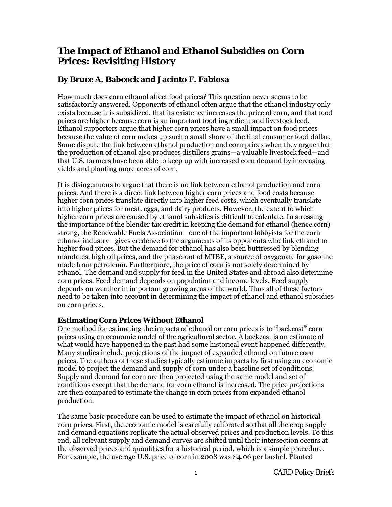# **The Impact of Ethanol and Ethanol Subsidies on Corn Prices: Revisiting History**

## **By Bruce A. Babcock and Jacinto F. Fabiosa**

How much does corn ethanol affect food prices? This question never seems to be satisfactorily answered. Opponents of ethanol often argue that the ethanol industry only exists because it is subsidized, that its existence increases the price of corn, and that food prices are higher because corn is an important food ingredient and livestock feed. Ethanol supporters argue that higher corn prices have a small impact on food prices because the value of corn makes up such a small share of the final consumer food dollar. Some dispute the link between ethanol production and corn prices when they argue that the production of ethanol also produces distillers grains—a valuable livestock feed—and that U.S. farmers have been able to keep up with increased corn demand by increasing yields and planting more acres of corn.

It is disingenuous to argue that there is no link between ethanol production and corn prices. And there is a direct link between higher corn prices and food costs because higher corn prices translate directly into higher feed costs, which eventually translate into higher prices for meat, eggs, and dairy products. However, the extent to which higher corn prices are caused by ethanol subsidies is difficult to calculate. In stressing the importance of the blender tax credit in keeping the demand for ethanol (hence corn) strong, the Renewable Fuels Association—one of the important lobbyists for the corn ethanol industry—gives credence to the arguments of its opponents who link ethanol to higher food prices. But the demand for ethanol has also been buttressed by blending mandates, high oil prices, and the phase-out of MTBE, a source of oxygenate for gasoline made from petroleum. Furthermore, the price of corn is not solely determined by ethanol. The demand and supply for feed in the United States and abroad also determine corn prices. Feed demand depends on population and income levels. Feed supply depends on weather in important growing areas of the world. Thus all of these factors need to be taken into account in determining the impact of ethanol and ethanol subsidies on corn prices.

## **Estimating Corn Prices Without Ethanol**

One method for estimating the impacts of ethanol on corn prices is to "backcast" corn prices using an economic model of the agricultural sector. A backcast is an estimate of what would have happened in the past had some historical event happened differently. Many studies include projections of the impact of expanded ethanol on future corn prices. The authors of these studies typically estimate impacts by first using an economic model to project the demand and supply of corn under a baseline set of conditions. Supply and demand for corn are then projected using the same model and set of conditions except that the demand for corn ethanol is increased. The price projections are then compared to estimate the change in corn prices from expanded ethanol production.

The same basic procedure can be used to estimate the impact of ethanol on historical corn prices. First, the economic model is carefully calibrated so that all the crop supply and demand equations replicate the actual observed prices and production levels. To this end, all relevant supply and demand curves are shifted until their intersection occurs at the observed prices and quantities for a historical period, which is a simple procedure. For example, the average U.S. price of corn in 2008 was \$4.06 per bushel. Planted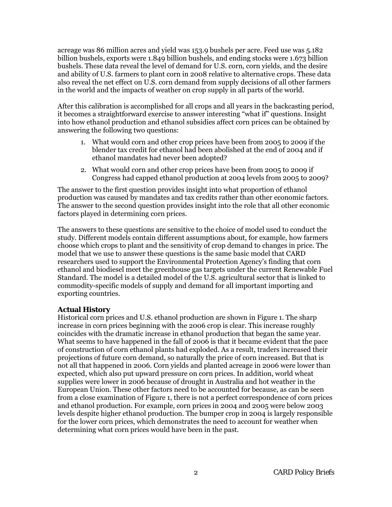acreage was 86 million acres and yield was 153.9 bushels per acre. Feed use was 5.182 billion bushels, exports were 1.849 billion bushels, and ending stocks were 1.673 billion bushels. These data reveal the level of demand for U.S. corn, corn yields, and the desire and ability of U.S. farmers to plant corn in 2008 relative to alternative crops. These data also reveal the net effect on U.S. corn demand from supply decisions of all other farmers in the world and the impacts of weather on crop supply in all parts of the world.

After this calibration is accomplished for all crops and all years in the backcasting period, it becomes a straightforward exercise to answer interesting "what if" questions. Insight into how ethanol production and ethanol subsidies affect corn prices can be obtained by answering the following two questions:

- 1. What would corn and other crop prices have been from 2005 to 2009 if the blender tax credit for ethanol had been abolished at the end of 2004 and if ethanol mandates had never been adopted?
- 2. What would corn and other crop prices have been from 2005 to 2009 if Congress had capped ethanol production at 2004 levels from 2005 to 2009?

The answer to the first question provides insight into what proportion of ethanol production was caused by mandates and tax credits rather than other economic factors. The answer to the second question provides insight into the role that all other economic factors played in determining corn prices.

The answers to these questions are sensitive to the choice of model used to conduct the study. Different models contain different assumptions about, for example, how farmers choose which crops to plant and the sensitivity of crop demand to changes in price. The model that we use to answer these questions is the same basic model that CARD researchers used to support the Environmental Protection Agency's finding that corn ethanol and biodiesel meet the greenhouse gas targets under the current Renewable Fuel Standard. The model is a detailed model of the U.S. agricultural sector that is linked to commodity-specific models of supply and demand for all important importing and exporting countries.

### **Actual History**

Historical corn prices and U.S. ethanol production are shown in Figure 1. The sharp increase in corn prices beginning with the 2006 crop is clear. This increase roughly coincides with the dramatic increase in ethanol production that began the same year. What seems to have happened in the fall of 2006 is that it became evident that the pace of construction of corn ethanol plants had exploded. As a result, traders increased their projections of future corn demand, so naturally the price of corn increased. But that is not all that happened in 2006. Corn yields and planted acreage in 2006 were lower than expected, which also put upward pressure on corn prices. In addition, world wheat supplies were lower in 2006 because of drought in Australia and hot weather in the European Union. These other factors need to be accounted for because, as can be seen from a close examination of Figure 1, there is not a perfect correspondence of corn prices and ethanol production. For example, corn prices in 2004 and 2005 were below 2003 levels despite higher ethanol production. The bumper crop in 2004 is largely responsible for the lower corn prices, which demonstrates the need to account for weather when determining what corn prices would have been in the past.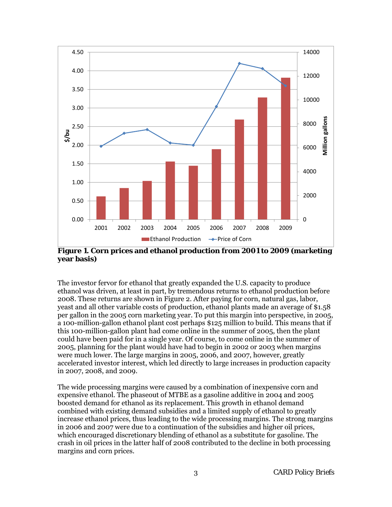

**Figure 1. Corn prices and ethanol production from 2001 to 2009 (marketing year basis)**

The investor fervor for ethanol that greatly expanded the U.S. capacity to produce ethanol was driven, at least in part, by tremendous returns to ethanol production before 2008. These returns are shown in Figure 2. After paying for corn, natural gas, labor, yeast and all other variable costs of production, ethanol plants made an average of \$1.58 per gallon in the 2005 corn marketing year. To put this margin into perspective, in 2005, a 100-million-gallon ethanol plant cost perhaps \$125 million to build. This means that if this 100-million-gallon plant had come online in the summer of 2005, then the plant could have been paid for in a single year. Of course, to come online in the summer of 2005, planning for the plant would have had to begin in 2002 or 2003 when margins were much lower. The large margins in 2005, 2006, and 2007, however, greatly accelerated investor interest, which led directly to large increases in production capacity in 2007, 2008, and 2009.

The wide processing margins were caused by a combination of inexpensive corn and expensive ethanol. The phaseout of MTBE as a gasoline additive in 2004 and 2005 boosted demand for ethanol as its replacement. This growth in ethanol demand combined with existing demand subsidies and a limited supply of ethanol to greatly increase ethanol prices, thus leading to the wide processing margins. The strong margins in 2006 and 2007 were due to a continuation of the subsidies and higher oil prices, which encouraged discretionary blending of ethanol as a substitute for gasoline. The crash in oil prices in the latter half of 2008 contributed to the decline in both processing margins and corn prices.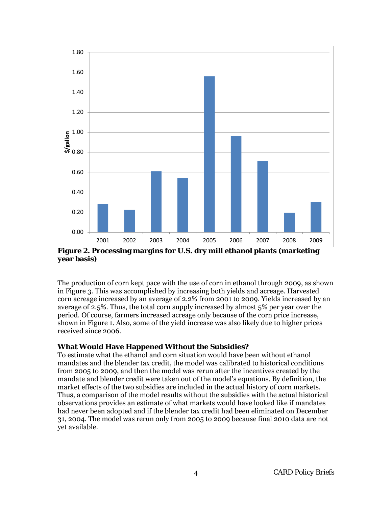

**Figure 2. Processing margins for U.S. dry mill ethanol plants (marketing year basis)**

The production of corn kept pace with the use of corn in ethanol through 2009, as shown in Figure 3. This was accomplished by increasing both yields and acreage. Harvested corn acreage increased by an average of 2.2% from 2001 to 2009. Yields increased by an average of 2.5%. Thus, the total corn supply increased by almost 5% per year over the period. Of course, farmers increased acreage only because of the corn price increase, shown in Figure 1. Also, some of the yield increase was also likely due to higher prices received since 2006.

### **What Would Have Happened Without the Subsidies?**

To estimate what the ethanol and corn situation would have been without ethanol mandates and the blender tax credit, the model was calibrated to historical conditions from 2005 to 2009, and then the model was rerun after the incentives created by the mandate and blender credit were taken out of the model's equations. By definition, the market effects of the two subsidies are included in the actual history of corn markets. Thus, a comparison of the model results without the subsidies with the actual historical observations provides an estimate of what markets would have looked like if mandates had never been adopted and if the blender tax credit had been eliminated on December 31, 2004. The model was rerun only from 2005 to 2009 because final 2010 data are not yet available.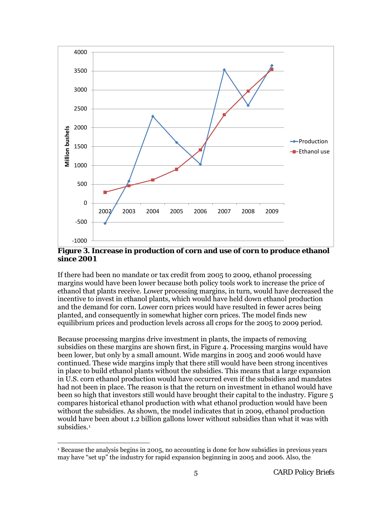

**Figure 3. Increase in production of corn and use of corn to produce ethanol since 2001**

If there had been no mandate or tax credit from 2005 to 2009, ethanol processing margins would have been lower because both policy tools work to increase the price of ethanol that plants receive. Lower processing margins, in turn, would have decreased the incentive to invest in ethanol plants, which would have held down ethanol production and the demand for corn. Lower corn prices would have resulted in fewer acres being planted, and consequently in somewhat higher corn prices. The model finds new equilibrium prices and production levels across all crops for the 2005 to 2009 period.

Because processing margins drive investment in plants, the impacts of removing subsidies on these margins are shown first, in Figure 4. Processing margins would have been lower, but only by a small amount. Wide margins in 2005 and 2006 would have continued. These wide margins imply that there still would have been strong incentives in place to build ethanol plants without the subsidies. This means that a large expansion in U.S. corn ethanol production would have occurred even if the subsidies and mandates had not been in place. The reason is that the return on investment in ethanol would have been so high that investors still would have brought their capital to the industry. Figure 5 compares historical ethanol production with what ethanol production would have been without the subsidies. As shown, the model indicates that in 2009, ethanol production would have been about 1.2 billion gallons lower without subsidies than what it was with subsidies.<sup>[1](#page-0-0)</sup>

<span id="page-6-0"></span>l

<sup>1</sup> Because the analysis begins in 2005, no accounting is done for how subsidies in previous years may have "set up" the industry for rapid expansion beginning in 2005 and 2006. Also, the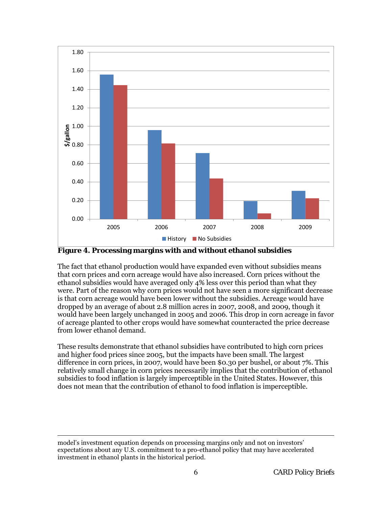

**Figure 4. Processing margins with and without ethanol subsidies**

The fact that ethanol production would have expanded even without subsidies means that corn prices and corn acreage would have also increased. Corn prices without the ethanol subsidies would have averaged only 4% less over this period than what they were. Part of the reason why corn prices would not have seen a more significant decrease is that corn acreage would have been lower without the subsidies. Acreage would have dropped by an average of about 2.8 million acres in 2007, 2008, and 2009, though it would have been largely unchanged in 2005 and 2006. This drop in corn acreage in favor of acreage planted to other crops would have somewhat counteracted the price decrease from lower ethanol demand.

These results demonstrate that ethanol subsidies have contributed to high corn prices and higher food prices since 2005, but the impacts have been small. The largest difference in corn prices, in 2007, would have been \$0.30 per bushel, or about 7%. This relatively small change in corn prices necessarily implies that the contribution of ethanol subsidies to food inflation is largely imperceptible in the United States. However, this does not mean that the contribution of ethanol to food inflation is imperceptible.

 $\overline{\phantom{a}}$ 

model's investment equation depends on processing margins only and not on investors' expectations about any U.S. commitment to a pro-ethanol policy that may have accelerated investment in ethanol plants in the historical period.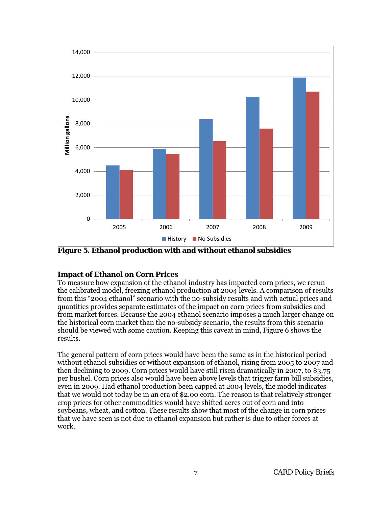

**Figure 5. Ethanol production with and without ethanol subsidies**

## **Impact of Ethanol on Corn Prices**

To measure how expansion of the ethanol industry has impacted corn prices, we rerun the calibrated model, freezing ethanol production at 2004 levels. A comparison of results from this "2004 ethanol" scenario with the no-subsidy results and with actual prices and quantities provides separate estimates of the impact on corn prices from subsidies and from market forces. Because the 2004 ethanol scenario imposes a much larger change on the historical corn market than the no-subsidy scenario, the results from this scenario should be viewed with some caution. Keeping this caveat in mind, Figure 6 shows the results.

The general pattern of corn prices would have been the same as in the historical period without ethanol subsidies or without expansion of ethanol, rising from 2005 to 2007 and then declining to 2009. Corn prices would have still risen dramatically in 2007, to \$3.75 per bushel. Corn prices also would have been above levels that trigger farm bill subsidies, even in 2009. Had ethanol production been capped at 2004 levels, the model indicates that we would not today be in an era of \$2.00 corn. The reason is that relatively stronger crop prices for other commodities would have shifted acres out of corn and into soybeans, wheat, and cotton. These results show that most of the change in corn prices that we have seen is not due to ethanol expansion but rather is due to other forces at work.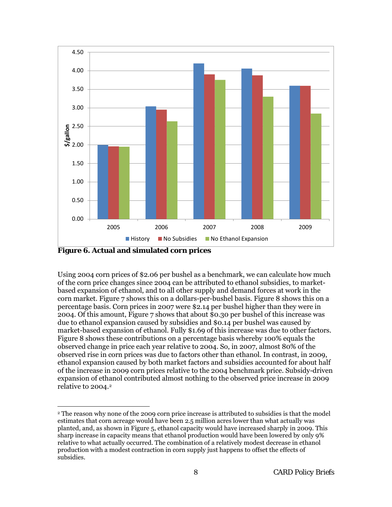

**Figure 6. Actual and simulated corn prices**

Using 2004 corn prices of \$2.06 per bushel as a benchmark, we can calculate how much of the corn price changes since 2004 can be attributed to ethanol subsidies, to marketbased expansion of ethanol, and to all other supply and demand forces at work in the corn market. Figure 7 shows this on a dollars-per-bushel basis. Figure 8 shows this on a percentage basis. Corn prices in 2007 were \$2.14 per bushel higher than they were in 2004. Of this amount, Figure 7 shows that about \$0.30 per bushel of this increase was due to ethanol expansion caused by subsidies and \$0.14 per bushel was caused by market-based expansion of ethanol. Fully \$1.69 of this increase was due to other factors. Figure 8 shows these contributions on a percentage basis whereby 100% equals the observed change in price each year relative to 2004. So, in 2007, almost 80% of the observed rise in corn prices was due to factors other than ethanol. In contrast, in 2009, ethanol expansion caused by both market factors and subsidies accounted for about half of the increase in 2009 corn prices relative to the 2004 benchmark price. Subsidy-driven expansion of ethanol contributed almost nothing to the observed price increase in 2009 relative to 2004.<sup>2</sup>

 $\overline{\phantom{a}}$ <sup>2</sup> The reason why none of the 2009 corn price increase is attributed to subsidies is that the model estimates that corn acreage would have been 2.5 million acres lower than what actually was planted, and, as shown in Figure 5, ethanol capacity would have increased sharply in 2009. This sharp increase in capacity means that ethanol production would have been lowered by only 9% relative to what actually occurred. The combination of a relatively modest decrease in ethanol production with a modest contraction in corn supply just happens to offset the effects of subsidies.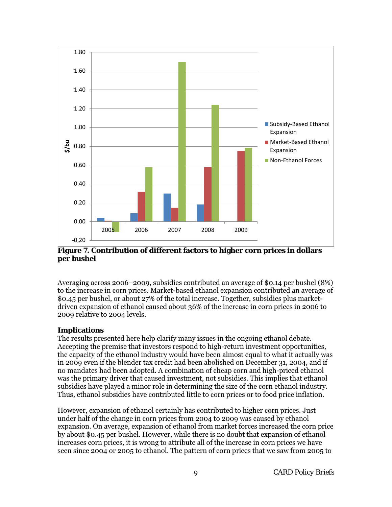

**Figure 7. Contribution of different factors to higher corn prices in dollars per bushel**

Averaging across 2006–2009, subsidies contributed an average of \$0.14 per bushel (8%) to the increase in corn prices. Market-based ethanol expansion contributed an average of \$0.45 per bushel, or about 27% of the total increase. Together, subsidies plus marketdriven expansion of ethanol caused about 36% of the increase in corn prices in 2006 to 2009 relative to 2004 levels.

### **Implications**

The results presented here help clarify many issues in the ongoing ethanol debate. Accepting the premise that investors respond to high-return investment opportunities, the capacity of the ethanol industry would have been almost equal to what it actually was in 2009 even if the blender tax credit had been abolished on December 31, 2004, and if no mandates had been adopted. A combination of cheap corn and high-priced ethanol was the primary driver that caused investment, not subsidies. This implies that ethanol subsidies have played a minor role in determining the size of the corn ethanol industry. Thus, ethanol subsidies have contributed little to corn prices or to food price inflation.

However, expansion of ethanol certainly has contributed to higher corn prices. Just under half of the change in corn prices from 2004 to 2009 was caused by ethanol expansion. On average, expansion of ethanol from market forces increased the corn price by about \$0.45 per bushel. However, while there is no doubt that expansion of ethanol increases corn prices, it is wrong to attribute all of the increase in corn prices we have seen since 2004 or 2005 to ethanol. The pattern of corn prices that we saw from 2005 to